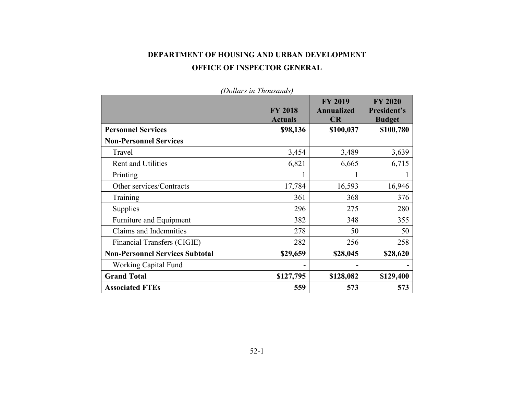# **DEPARTMENT OF HOUSING AND URBAN DEVELOPMENT OFFICE OF INSPECTOR GENERAL**

| Donard in Inousanas,                   |                                  | <b>FY 2019</b>                 | <b>FY 2020</b>               |
|----------------------------------------|----------------------------------|--------------------------------|------------------------------|
|                                        | <b>FY 2018</b><br><b>Actuals</b> | <b>Annualized</b><br><b>CR</b> | President's<br><b>Budget</b> |
| <b>Personnel Services</b>              | \$98,136                         | \$100,037                      | \$100,780                    |
| <b>Non-Personnel Services</b>          |                                  |                                |                              |
| Travel                                 | 3,454                            | 3,489                          | 3,639                        |
| <b>Rent and Utilities</b>              | 6,821                            | 6,665                          | 6,715                        |
| Printing                               |                                  |                                |                              |
| Other services/Contracts               | 17,784                           | 16,593                         | 16,946                       |
| Training                               | 361                              | 368                            | 376                          |
| Supplies                               | 296                              | 275                            | 280                          |
| Furniture and Equipment                | 382                              | 348                            | 355                          |
| Claims and Indemnities                 | 278                              | 50                             | 50                           |
| Financial Transfers (CIGIE)            | 282                              | 256                            | 258                          |
| <b>Non-Personnel Services Subtotal</b> | \$29,659                         | \$28,045                       | \$28,620                     |
| Working Capital Fund                   |                                  |                                |                              |
| <b>Grand Total</b>                     | \$127,795                        | \$128,082                      | \$129,400                    |
| <b>Associated FTEs</b>                 | 559                              | 573                            | 573                          |

*(Dollars in Thousands)*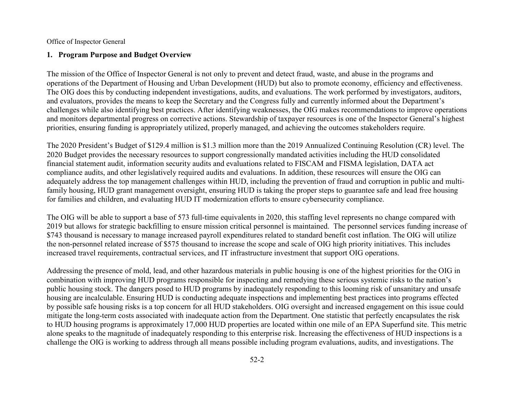## **1. Program Purpose and Budget Overview**

The mission of the Office of Inspector General is not only to prevent and detect fraud, waste, and abuse in the programs and operations of the Department of Housing and Urban Development (HUD) but also to promote economy, efficiency and effectiveness. The OIG does this by conducting independent investigations, audits, and evaluations. The work performed by investigators, auditors, and evaluators, provides the means to keep the Secretary and the Congress fully and currently informed about the Department's challenges while also identifying best practices. After identifying weaknesses, the OIG makes recommendations to improve operations and monitors departmental progress on corrective actions. Stewardship of taxpayer resources is one of the Inspector General's highest priorities, ensuring funding is appropriately utilized, properly managed, and achieving the outcomes stakeholders require.

The 2020 President's Budget of \$129.4 million is \$1.3 million more than the 2019 Annualized Continuing Resolution (CR) level. The 2020 Budget provides the necessary resources to support congressionally mandated activities including the HUD consolidated financial statement audit, information security audits and evaluations related to FISCAM and FISMA legislation, DATA act compliance audits, and other legislatively required audits and evaluations. In addition, these resources will ensure the OIG can adequately address the top management challenges within HUD, including the prevention of fraud and corruption in public and multifamily housing, HUD grant management oversight, ensuring HUD is taking the proper steps to guarantee safe and lead free housing for families and children, and evaluating HUD IT modernization efforts to ensure cybersecurity compliance.

The OIG will be able to support a base of 573 full-time equivalents in 2020, this staffing level represents no change compared with 2019 but allows for strategic backfilling to ensure mission critical personnel is maintained. The personnel services funding increase of \$743 thousand is necessary to manage increased payroll expenditures related to standard benefit cost inflation. The OIG will utilize the non-personnel related increase of \$575 thousand to increase the scope and scale of OIG high priority initiatives. This includes increased travel requirements, contractual services, and IT infrastructure investment that support OIG operations.

Addressing the presence of mold, lead, and other hazardous materials in public housing is one of the highest priorities for the OIG in combination with improving HUD programs responsible for inspecting and remedying these serious systemic risks to the nation's public housing stock. The dangers posed to HUD programs by inadequately responding to this looming risk of unsanitary and unsafe housing are incalculable. Ensuring HUD is conducting adequate inspections and implementing best practices into programs effected by possible safe housing risks is a top concern for all HUD stakeholders. OIG oversight and increased engagement on this issue could mitigate the long-term costs associated with inadequate action from the Department. One statistic that perfectly encapsulates the risk to HUD housing programs is approximately 17,000 HUD properties are located within one mile of an EPA Superfund site. This metric alone speaks to the magnitude of inadequately responding to this enterprise risk. Increasing the effectiveness of HUD inspections is a challenge the OIG is working to address through all means possible including program evaluations, audits, and investigations. The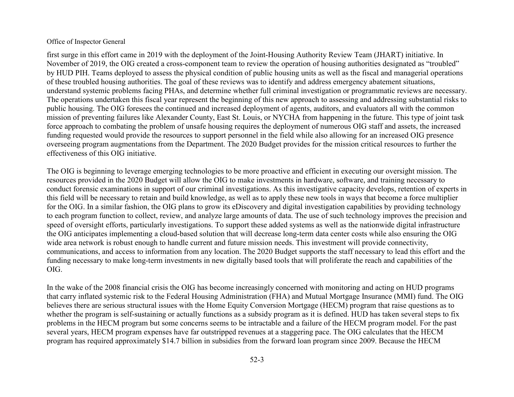first surge in this effort came in 2019 with the deployment of the Joint-Housing Authority Review Team (JHART) initiative. In November of 2019, the OIG created a cross-component team to review the operation of housing authorities designated as "troubled" by HUD PIH. Teams deployed to assess the physical condition of public housing units as well as the fiscal and managerial operations of these troubled housing authorities. The goal of these reviews was to identify and address emergency abatement situations, understand systemic problems facing PHAs, and determine whether full criminal investigation or programmatic reviews are necessary. The operations undertaken this fiscal year represent the beginning of this new approach to assessing and addressing substantial risks to public housing. The OIG foresees the continued and increased deployment of agents, auditors, and evaluators all with the common mission of preventing failures like Alexander County, East St. Louis, or NYCHA from happening in the future. This type of joint task force approach to combating the problem of unsafe housing requires the deployment of numerous OIG staff and assets, the increased funding requested would provide the resources to support personnel in the field while also allowing for an increased OIG presence overseeing program augmentations from the Department. The 2020 Budget provides for the mission critical resources to further the effectiveness of this OIG initiative.

The OIG is beginning to leverage emerging technologies to be more proactive and efficient in executing our oversight mission. The resources provided in the 2020 Budget will allow the OIG to make investments in hardware, software, and training necessary to conduct forensic examinations in support of our criminal investigations. As this investigative capacity develops, retention of experts in this field will be necessary to retain and build knowledge, as well as to apply these new tools in ways that become a force multiplier for the OIG. In a similar fashion, the OIG plans to grow its eDiscovery and digital investigation capabilities by providing technology to each program function to collect, review, and analyze large amounts of data. The use of such technology improves the precision and speed of oversight efforts, particularly investigations. To support these added systems as well as the nationwide digital infrastructure the OIG anticipates implementing a cloud-based solution that will decrease long-term data center costs while also ensuring the OIG wide area network is robust enough to handle current and future mission needs. This investment will provide connectivity, communications, and access to information from any location. The 2020 Budget supports the staff necessary to lead this effort and the funding necessary to make long-term investments in new digitally based tools that will proliferate the reach and capabilities of the OIG.

In the wake of the 2008 financial crisis the OIG has become increasingly concerned with monitoring and acting on HUD programs that carry inflated systemic risk to the Federal Housing Administration (FHA) and Mutual Mortgage Insurance (MMI) fund. The OIG believes there are serious structural issues with the Home Equity Conversion Mortgage (HECM) program that raise questions as to whether the program is self-sustaining or actually functions as a subsidy program as it is defined. HUD has taken several steps to fix problems in the HECM program but some concerns seems to be intractable and a failure of the HECM program model. For the past several years, HECM program expenses have far outstripped revenues at a staggering pace. The OIG calculates that the HECM program has required approximately \$14.7 billion in subsidies from the forward loan program since 2009. Because the HECM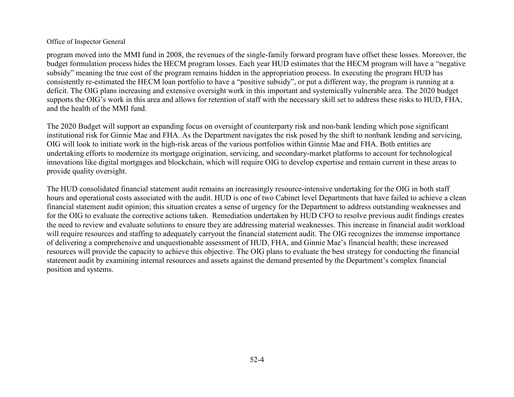program moved into the MMI fund in 2008, the revenues of the single-family forward program have offset these losses. Moreover, the budget formulation process hides the HECM program losses. Each year HUD estimates that the HECM program will have a "negative subsidy" meaning the true cost of the program remains hidden in the appropriation process. In executing the program HUD has consistently re-estimated the HECM loan portfolio to have a "positive subsidy", or put a different way, the program is running at a deficit. The OIG plans increasing and extensive oversight work in this important and systemically vulnerable area. The 2020 budget supports the OIG's work in this area and allows for retention of staff with the necessary skill set to address these risks to HUD, FHA, and the health of the MMI fund.

The 2020 Budget will support an expanding focus on oversight of counterparty risk and non-bank lending which pose significant institutional risk for Ginnie Mae and FHA. As the Department navigates the risk posed by the shift to nonbank lending and servicing, OIG will look to initiate work in the high-risk areas of the various portfolios within Ginnie Mae and FHA. Both entities are undertaking efforts to modernize its mortgage origination, servicing, and secondary-market platforms to account for technological innovations like digital mortgages and blockchain, which will require OIG to develop expertise and remain current in these areas to provide quality oversight.

The HUD consolidated financial statement audit remains an increasingly resource-intensive undertaking for the OIG in both staff hours and operational costs associated with the audit. HUD is one of two Cabinet level Departments that have failed to achieve a clean financial statement audit opinion; this situation creates a sense of urgency for the Department to address outstanding weaknesses and for the OIG to evaluate the corrective actions taken. Remediation undertaken by HUD CFO to resolve previous audit findings creates the need to review and evaluate solutions to ensure they are addressing material weaknesses. This increase in financial audit workload will require resources and staffing to adequately carryout the financial statement audit. The OIG recognizes the immense importance of delivering a comprehensive and unquestionable assessment of HUD, FHA, and Ginnie Mae's financial health; these increased resources will provide the capacity to achieve this objective. The OIG plans to evaluate the best strategy for conducting the financial statement audit by examining internal resources and assets against the demand presented by the Department's complex financial position and systems.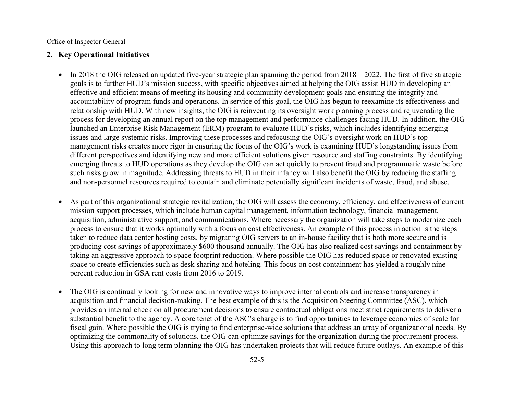#### **2. Key Operational Initiatives**

- $\bullet$  In 2018 the OIG released an updated five-year strategic plan spanning the period from 2018 2022. The first of five strategic goals is to further HUD's mission success, with specific objectives aimed at helping the OIG assist HUD in developing an effective and efficient means of meeting its housing and community development goals and ensuring the integrity and accountability of program funds and operations. In service of this goal, the OIG has begun to reexamine its effectiveness and relationship with HUD. With new insights, the OIG is reinventing its oversight work planning process and rejuvenating the process for developing an annual report on the top management and performance challenges facing HUD. In addition, the OIG launched an Enterprise Risk Management (ERM) program to evaluate HUD's risks, which includes identifying emerging issues and large systemic risks. Improving these processes and refocusing the OIG's oversight work on HUD's top management risks creates more rigor in ensuring the focus of the OIG's work is examining HUD's longstanding issues from different perspectives and identifying new and more efficient solutions given resource and staffing constraints. By identifying emerging threats to HUD operations as they develop the OIG can act quickly to prevent fraud and programmatic waste before such risks grow in magnitude. Addressing threats to HUD in their infancy will also benefit the OIG by reducing the staffing and non-personnel resources required to contain and eliminate potentially significant incidents of waste, fraud, and abuse.
- As part of this organizational strategic revitalization, the OIG will assess the economy, efficiency, and effectiveness of current mission support processes, which include human capital management, information technology, financial management, acquisition, administrative support, and communications. Where necessary the organization will take steps to modernize each process to ensure that it works optimally with a focus on cost effectiveness. An example of this process in action is the steps taken to reduce data center hosting costs, by migrating OIG servers to an in-house facility that is both more secure and is producing cost savings of approximately \$600 thousand annually. The OIG has also realized cost savings and containment by taking an aggressive approach to space footprint reduction. Where possible the OIG has reduced space or renovated existing space to create efficiencies such as desk sharing and hoteling. This focus on cost containment has yielded a roughly nine percent reduction in GSA rent costs from 2016 to 2019.
- The OIG is continually looking for new and innovative ways to improve internal controls and increase transparency in acquisition and financial decision-making. The best example of this is the Acquisition Steering Committee (ASC), which provides an internal check on all procurement decisions to ensure contractual obligations meet strict requirements to deliver a substantial benefit to the agency. A core tenet of the ASC's charge is to find opportunities to leverage economies of scale for fiscal gain. Where possible the OIG is trying to find enterprise-wide solutions that address an array of organizational needs. By optimizing the commonality of solutions, the OIG can optimize savings for the organization during the procurement process. Using this approach to long term planning the OIG has undertaken projects that will reduce future outlays. An example of this